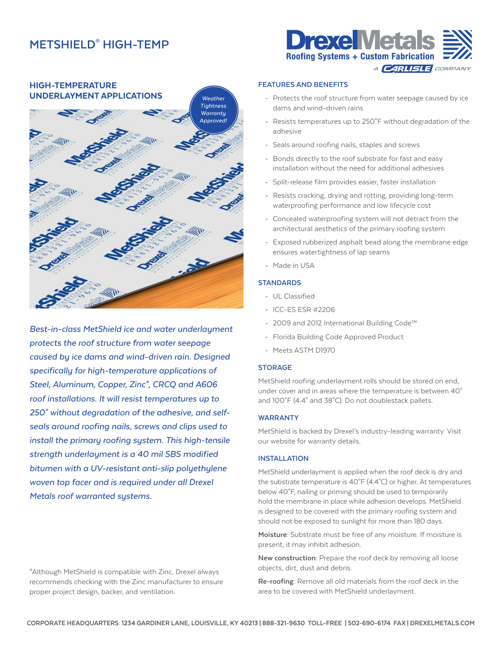## **METSHIELD® HIGH-TEMP**



*Best-in-class MetShield ice and water underlayment protects the roof structure from water seepage caused by ice dams and wind-driven rain. Designed specifically for high-temperature applications of Steel, Aluminum, Copper, Zinc\*, CRCQ and A606 roof installations. It will resist temperatures up to 250° without degradation of the adhesive, and selfseals around roofing nails, screws and clips used to install the primary roofing system. This high-tensile strength underlayment is a 40 mil SBS modified bitumen with a UV-resistant anti-slip polyethylene woven top facer and is required under all Drexel Metals roof warranted systems.*

\*Although MetShield is compatible with Zinc, Drexel always recommends checking with the Zinc manufacturer to ensure proper project design, backer, and ventilation.



### **FEATURES AND BENEFITS**

- Protects the roof structure from water seepage caused by ice dams and wind-driven rains
- Resists temperatures up to 250°F without degradation of the adhesive
- Seals around roofing nails, staples and screws
- Bonds directly to the roof substrate for fast and easy installation without the need for additional adhesives
- Split-release film provides easier, faster installation
- Resists cracking, drying and rotting, providing long-term waterproofing performance and low lifecycle cost
- Concealed waterproofing system will not detract from the architectural aesthetics of the primary roofing system
- Exposed rubberized asphalt bead along the membrane edge ensures watertightness of lap seams
- Made in USA

### **STANDARDS**

- UL Classified
- ICC-ES ESR #2206
- 2009 and 2012 International Building Code™
- Florida Building Code Approved Product
- Meets ASTM D1970

### **STORAGE**

MetShield roofing underlayment rolls should be stored on end, under cover and in areas where the temperature is between 40° and 100°F (4.4° and 38°C). Do not doublestack pallets.

### **WARRANTY**

MetShield is backed by Drexel's industry-leading warranty. Visit our website for warranty details.

## **INSTALLATION**

MetShield underlayment is applied when the roof deck is dry and the substrate temperature is 40°F (4.4°C) or higher. At temperatures below 40°F, nailing or priming should be used to temporarily hold the membrane in place while adhesion develops. MetShield is designed to be covered with the primary roofing system and should not be exposed to sunlight for more than 180 days.

**Moisture:** Substrate must be free of any moisture. If moisture is present, it may inhibit adhesion.

**New construction:** Prepare the roof deck by removing all loose objects, dirt, dust and debris.

**Re-roofing:** Remove all old materials from the roof deck in the area to be covered with MetShield underlayment.